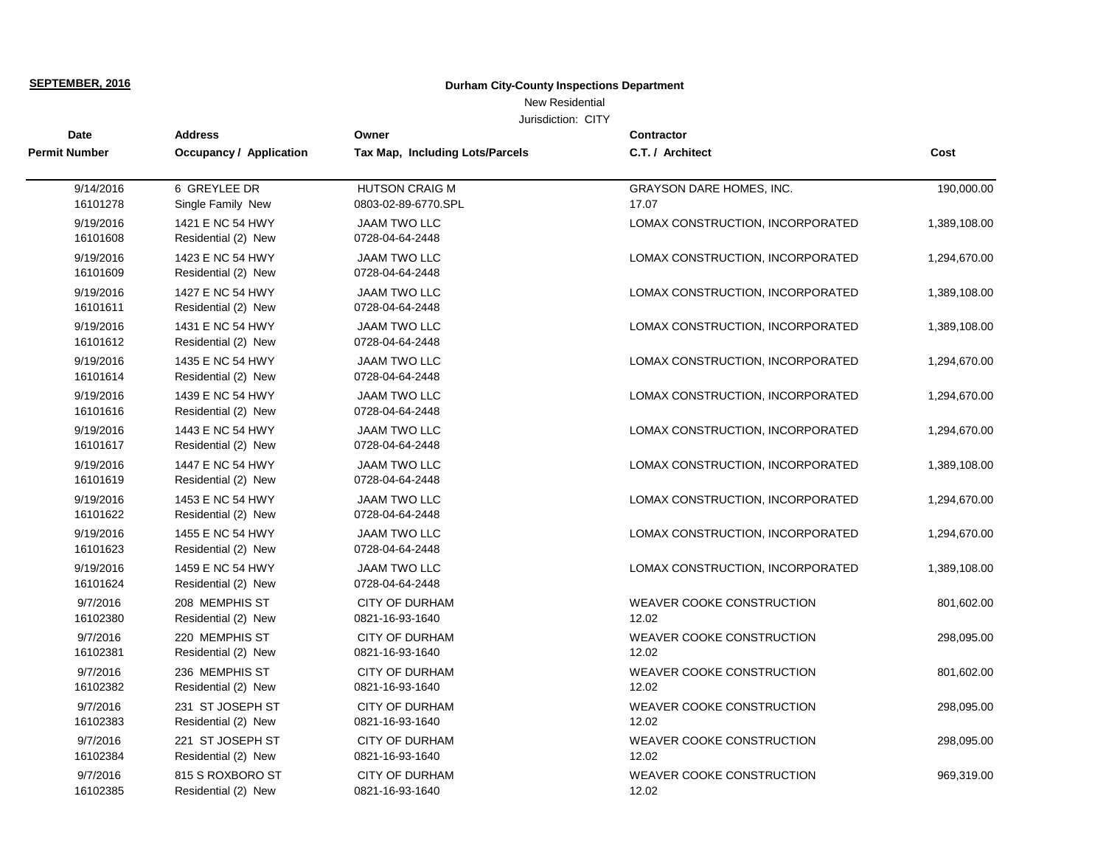New Residential

| Date                  | <b>Address</b>                          | Owner                                        | <b>Contractor</b>                         |              |
|-----------------------|-----------------------------------------|----------------------------------------------|-------------------------------------------|--------------|
| Permit Number         | <b>Occupancy / Application</b>          | Tax Map, Including Lots/Parcels              | C.T. / Architect                          | Cost         |
| 9/14/2016<br>16101278 | 6 GREYLEE DR<br>Single Family New       | <b>HUTSON CRAIG M</b><br>0803-02-89-6770.SPL | GRAYSON DARE HOMES, INC.<br>17.07         | 190,000.00   |
| 9/19/2016<br>16101608 | 1421 E NC 54 HWY<br>Residential (2) New | <b>JAAM TWO LLC</b><br>0728-04-64-2448       | LOMAX CONSTRUCTION, INCORPORATED          | 1,389,108.00 |
| 9/19/2016<br>16101609 | 1423 E NC 54 HWY<br>Residential (2) New | <b>JAAM TWO LLC</b><br>0728-04-64-2448       | LOMAX CONSTRUCTION, INCORPORATED          | 1,294,670.00 |
| 9/19/2016<br>16101611 | 1427 E NC 54 HWY<br>Residential (2) New | <b>JAAM TWO LLC</b><br>0728-04-64-2448       | LOMAX CONSTRUCTION, INCORPORATED          | 1,389,108.00 |
| 9/19/2016<br>16101612 | 1431 E NC 54 HWY<br>Residential (2) New | <b>JAAM TWO LLC</b><br>0728-04-64-2448       | LOMAX CONSTRUCTION, INCORPORATED          | 1,389,108.00 |
| 9/19/2016<br>16101614 | 1435 E NC 54 HWY<br>Residential (2) New | <b>JAAM TWO LLC</b><br>0728-04-64-2448       | LOMAX CONSTRUCTION, INCORPORATED          | 1,294,670.00 |
| 9/19/2016<br>16101616 | 1439 E NC 54 HWY<br>Residential (2) New | <b>JAAM TWO LLC</b><br>0728-04-64-2448       | LOMAX CONSTRUCTION, INCORPORATED          | 1,294,670.00 |
| 9/19/2016<br>16101617 | 1443 E NC 54 HWY<br>Residential (2) New | <b>JAAM TWO LLC</b><br>0728-04-64-2448       | LOMAX CONSTRUCTION, INCORPORATED          | 1,294,670.00 |
| 9/19/2016<br>16101619 | 1447 E NC 54 HWY<br>Residential (2) New | <b>JAAM TWO LLC</b><br>0728-04-64-2448       | LOMAX CONSTRUCTION, INCORPORATED          | 1,389,108.00 |
| 9/19/2016<br>16101622 | 1453 E NC 54 HWY<br>Residential (2) New | JAAM TWO LLC<br>0728-04-64-2448              | LOMAX CONSTRUCTION, INCORPORATED          | 1,294,670.00 |
| 9/19/2016<br>16101623 | 1455 E NC 54 HWY<br>Residential (2) New | <b>JAAM TWO LLC</b><br>0728-04-64-2448       | LOMAX CONSTRUCTION, INCORPORATED          | 1,294,670.00 |
| 9/19/2016<br>16101624 | 1459 E NC 54 HWY<br>Residential (2) New | JAAM TWO LLC<br>0728-04-64-2448              | LOMAX CONSTRUCTION, INCORPORATED          | 1,389,108.00 |
| 9/7/2016<br>16102380  | 208 MEMPHIS ST<br>Residential (2) New   | <b>CITY OF DURHAM</b><br>0821-16-93-1640     | <b>WEAVER COOKE CONSTRUCTION</b><br>12.02 | 801,602.00   |
| 9/7/2016<br>16102381  | 220 MEMPHIS ST<br>Residential (2) New   | <b>CITY OF DURHAM</b><br>0821-16-93-1640     | <b>WEAVER COOKE CONSTRUCTION</b><br>12.02 | 298,095.00   |
| 9/7/2016<br>16102382  | 236 MEMPHIS ST<br>Residential (2) New   | <b>CITY OF DURHAM</b><br>0821-16-93-1640     | <b>WEAVER COOKE CONSTRUCTION</b><br>12.02 | 801,602.00   |
| 9/7/2016<br>16102383  | 231 ST JOSEPH ST<br>Residential (2) New | <b>CITY OF DURHAM</b><br>0821-16-93-1640     | <b>WEAVER COOKE CONSTRUCTION</b><br>12.02 | 298,095.00   |
| 9/7/2016<br>16102384  | 221 ST JOSEPH ST<br>Residential (2) New | <b>CITY OF DURHAM</b><br>0821-16-93-1640     | WEAVER COOKE CONSTRUCTION<br>12.02        | 298,095.00   |
| 9/7/2016<br>16102385  | 815 S ROXBORO ST<br>Residential (2) New | CITY OF DURHAM<br>0821-16-93-1640            | WEAVER COOKE CONSTRUCTION<br>12.02        | 969,319.00   |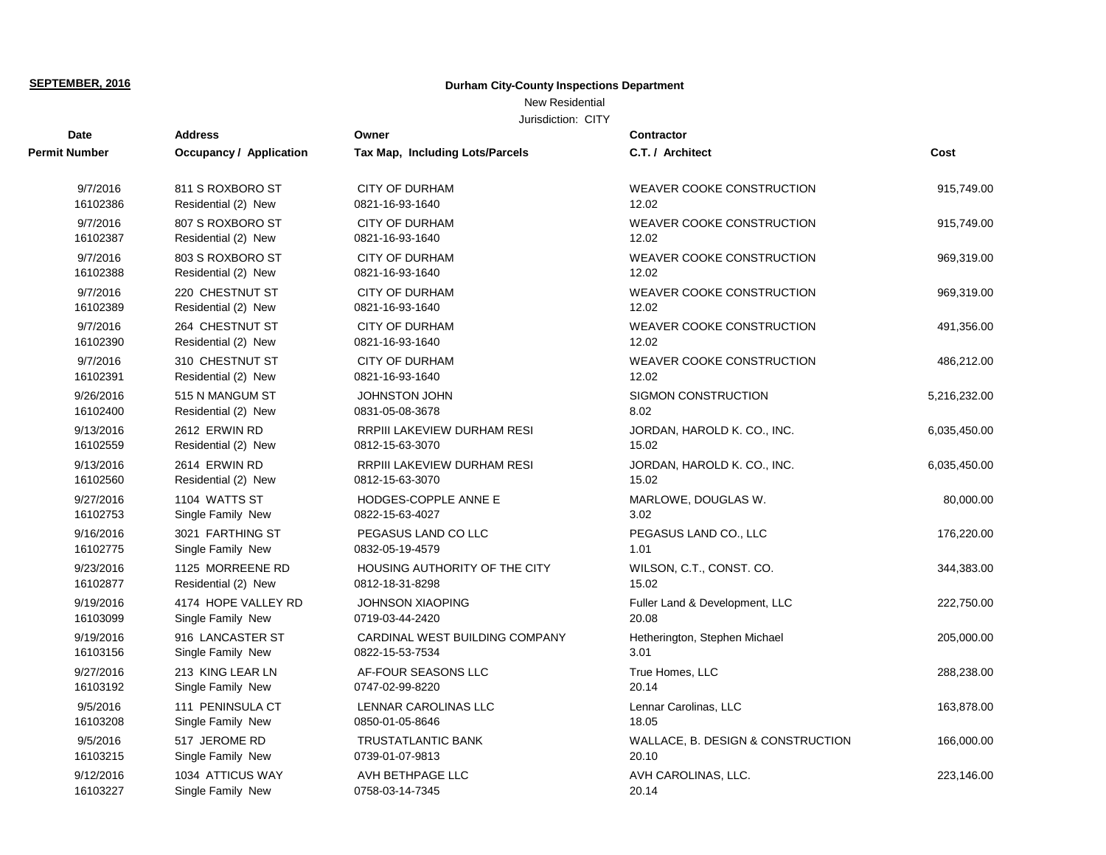## New Residential

| Date          | <b>Address</b>          | Owner                              | <b>Contractor</b>                 |              |
|---------------|-------------------------|------------------------------------|-----------------------------------|--------------|
| Permit Number | Occupancy / Application | Tax Map, Including Lots/Parcels    | C.T. / Architect                  | Cost         |
| 9/7/2016      | 811 S ROXBORO ST        | <b>CITY OF DURHAM</b>              | <b>WEAVER COOKE CONSTRUCTION</b>  | 915,749.00   |
| 16102386      | Residential (2) New     | 0821-16-93-1640                    | 12.02                             |              |
| 9/7/2016      | 807 S ROXBORO ST        | <b>CITY OF DURHAM</b>              | <b>WEAVER COOKE CONSTRUCTION</b>  | 915,749.00   |
| 16102387      | Residential (2) New     | 0821-16-93-1640                    | 12.02                             |              |
| 9/7/2016      | 803 S ROXBORO ST        | <b>CITY OF DURHAM</b>              | WEAVER COOKE CONSTRUCTION         | 969,319.00   |
| 16102388      | Residential (2) New     | 0821-16-93-1640                    | 12.02                             |              |
| 9/7/2016      | 220 CHESTNUT ST         | <b>CITY OF DURHAM</b>              | <b>WEAVER COOKE CONSTRUCTION</b>  | 969,319.00   |
| 16102389      | Residential (2) New     | 0821-16-93-1640                    | 12.02                             |              |
| 9/7/2016      | 264 CHESTNUT ST         | <b>CITY OF DURHAM</b>              | <b>WEAVER COOKE CONSTRUCTION</b>  | 491,356.00   |
| 16102390      | Residential (2) New     | 0821-16-93-1640                    | 12.02                             |              |
| 9/7/2016      | 310 CHESTNUT ST         | <b>CITY OF DURHAM</b>              | <b>WEAVER COOKE CONSTRUCTION</b>  | 486,212.00   |
| 16102391      | Residential (2) New     | 0821-16-93-1640                    | 12.02                             |              |
| 9/26/2016     | 515 N MANGUM ST         | <b>JOHNSTON JOHN</b>               | SIGMON CONSTRUCTION               | 5,216,232.00 |
| 16102400      | Residential (2) New     | 0831-05-08-3678                    | 8.02                              |              |
| 9/13/2016     | 2612 ERWIN RD           | RRPIII LAKEVIEW DURHAM RESI        | JORDAN, HAROLD K. CO., INC.       | 6,035,450.00 |
| 16102559      | Residential (2) New     | 0812-15-63-3070                    | 15.02                             |              |
| 9/13/2016     | 2614 ERWIN RD           | <b>RRPIII LAKEVIEW DURHAM RESI</b> | JORDAN, HAROLD K. CO., INC.       | 6,035,450.00 |
| 16102560      | Residential (2) New     | 0812-15-63-3070                    | 15.02                             |              |
| 9/27/2016     | 1104 WATTS ST           | HODGES-COPPLE ANNE E               | MARLOWE, DOUGLAS W.               | 80,000.00    |
| 16102753      | Single Family New       | 0822-15-63-4027                    | 3.02                              |              |
| 9/16/2016     | 3021 FARTHING ST        | PEGASUS LAND CO LLC                | PEGASUS LAND CO., LLC             | 176,220.00   |
| 16102775      | Single Family New       | 0832-05-19-4579                    | 1.01                              |              |
| 9/23/2016     | 1125 MORREENE RD        | HOUSING AUTHORITY OF THE CITY      | WILSON, C.T., CONST. CO.          | 344,383.00   |
| 16102877      | Residential (2) New     | 0812-18-31-8298                    | 15.02                             |              |
| 9/19/2016     | 4174 HOPE VALLEY RD     | <b>JOHNSON XIAOPING</b>            | Fuller Land & Development, LLC    | 222,750.00   |
| 16103099      | Single Family New       | 0719-03-44-2420                    | 20.08                             |              |
| 9/19/2016     | 916 LANCASTER ST        | CARDINAL WEST BUILDING COMPANY     | Hetherington, Stephen Michael     | 205,000.00   |
| 16103156      | Single Family New       | 0822-15-53-7534                    | 3.01                              |              |
| 9/27/2016     | 213 KING LEAR LN        | AF-FOUR SEASONS LLC                | True Homes, LLC                   | 288,238.00   |
| 16103192      | Single Family New       | 0747-02-99-8220                    | 20.14                             |              |
| 9/5/2016      | 111 PENINSULA CT        | LENNAR CAROLINAS LLC               | Lennar Carolinas, LLC             | 163,878.00   |
| 16103208      | Single Family New       | 0850-01-05-8646                    | 18.05                             |              |
| 9/5/2016      | 517 JEROME RD           | TRUSTATLANTIC BANK                 | WALLACE, B. DESIGN & CONSTRUCTION | 166,000.00   |
| 16103215      | Single Family New       | 0739-01-07-9813                    | 20.10                             |              |
| 9/12/2016     | 1034 ATTICUS WAY        | AVH BETHPAGE LLC                   | AVH CAROLINAS, LLC.               | 223,146.00   |
| 16103227      | Single Family New       | 0758-03-14-7345                    | 20.14                             |              |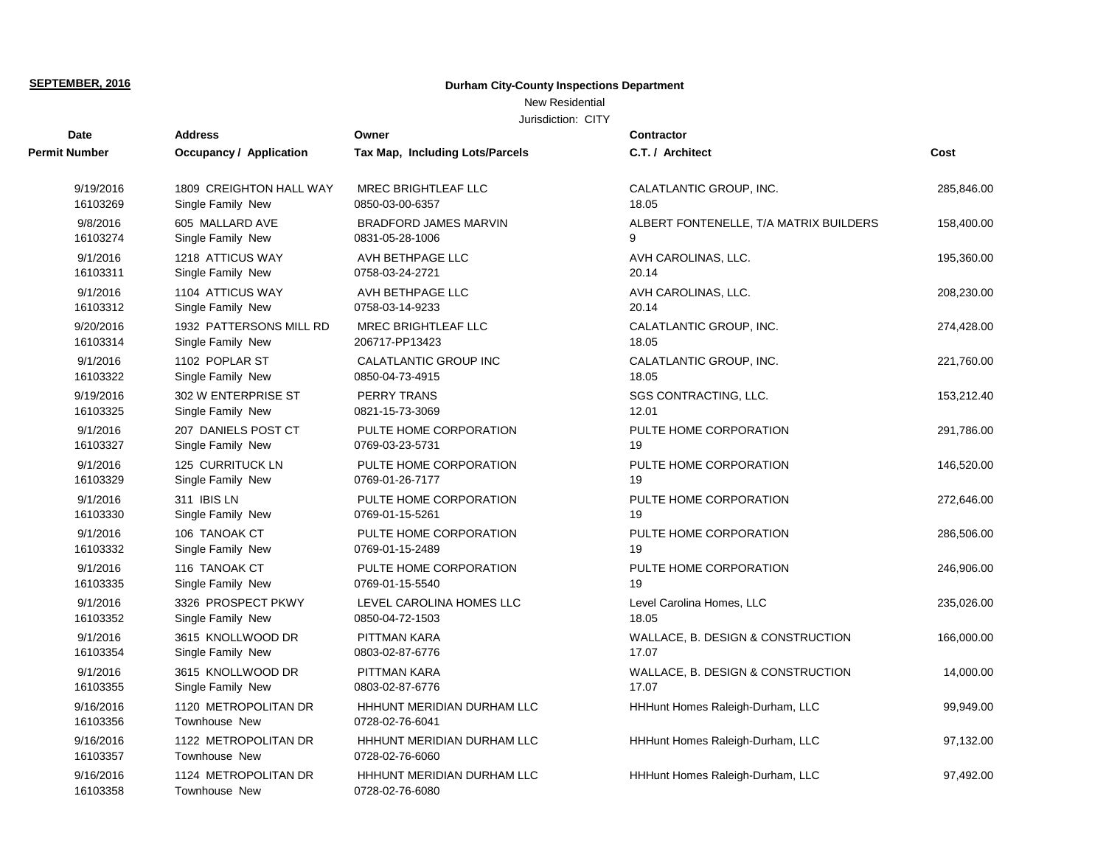# New Residential

| Date                  | <b>Address</b>                               | Owner                                         | Contractor                             |            |
|-----------------------|----------------------------------------------|-----------------------------------------------|----------------------------------------|------------|
| Permit Number         | Occupancy / Application                      | <b>Tax Map, Including Lots/Parcels</b>        | C.T. / Architect                       | Cost       |
| 9/19/2016             | 1809 CREIGHTON HALL WAY                      | MREC BRIGHTLEAF LLC                           | CALATLANTIC GROUP, INC.                | 285,846.00 |
| 16103269              | Single Family New                            | 0850-03-00-6357                               | 18.05                                  |            |
| 9/8/2016              | 605 MALLARD AVE                              | <b>BRADFORD JAMES MARVIN</b>                  | ALBERT FONTENELLE, T/A MATRIX BUILDERS | 158,400.00 |
| 16103274              | Single Family New                            | 0831-05-28-1006                               | 9                                      |            |
| 9/1/2016              | 1218 ATTICUS WAY                             | AVH BETHPAGE LLC                              | AVH CAROLINAS, LLC.                    | 195,360.00 |
| 16103311              | Single Family New                            | 0758-03-24-2721                               | 20.14                                  |            |
| 9/1/2016              | 1104 ATTICUS WAY                             | AVH BETHPAGE LLC                              | AVH CAROLINAS, LLC.                    | 208,230.00 |
| 16103312              | Single Family New                            | 0758-03-14-9233                               | 20.14                                  |            |
| 9/20/2016             | 1932 PATTERSONS MILL RD                      | <b>MREC BRIGHTLEAF LLC</b>                    | CALATLANTIC GROUP, INC.                | 274,428.00 |
| 16103314              | Single Family New                            | 206717-PP13423                                | 18.05                                  |            |
| 9/1/2016              | 1102 POPLAR ST                               | <b>CALATLANTIC GROUP INC</b>                  | CALATLANTIC GROUP, INC.                | 221,760.00 |
| 16103322              | Single Family New                            | 0850-04-73-4915                               | 18.05                                  |            |
| 9/19/2016             | 302 W ENTERPRISE ST                          | PERRY TRANS                                   | SGS CONTRACTING, LLC.                  | 153,212.40 |
| 16103325              | Single Family New                            | 0821-15-73-3069                               | 12.01                                  |            |
| 9/1/2016              | 207 DANIELS POST CT                          | PULTE HOME CORPORATION                        | PULTE HOME CORPORATION                 | 291,786.00 |
| 16103327              | Single Family New                            | 0769-03-23-5731                               | 19                                     |            |
| 9/1/2016              | 125 CURRITUCK LN                             | PULTE HOME CORPORATION                        | PULTE HOME CORPORATION                 | 146,520.00 |
| 16103329              | Single Family New                            | 0769-01-26-7177                               | 19                                     |            |
| 9/1/2016              | 311 IBIS LN                                  | PULTE HOME CORPORATION                        | PULTE HOME CORPORATION                 | 272,646.00 |
| 16103330              | Single Family New                            | 0769-01-15-5261                               | 19                                     |            |
| 9/1/2016              | 106 TANOAK CT                                | PULTE HOME CORPORATION                        | PULTE HOME CORPORATION                 | 286,506.00 |
| 16103332              | Single Family New                            | 0769-01-15-2489                               | 19                                     |            |
| 9/1/2016              | 116 TANOAK CT                                | PULTE HOME CORPORATION                        | PULTE HOME CORPORATION                 | 246,906.00 |
| 16103335              | Single Family New                            | 0769-01-15-5540                               | 19                                     |            |
| 9/1/2016              | 3326 PROSPECT PKWY                           | LEVEL CAROLINA HOMES LLC                      | Level Carolina Homes, LLC              | 235,026.00 |
| 16103352              | Single Family New                            | 0850-04-72-1503                               | 18.05                                  |            |
| 9/1/2016              | 3615 KNOLLWOOD DR                            | PITTMAN KARA                                  | WALLACE, B. DESIGN & CONSTRUCTION      | 166,000.00 |
| 16103354              | Single Family New                            | 0803-02-87-6776                               | 17.07                                  |            |
| 9/1/2016              | 3615 KNOLLWOOD DR                            | PITTMAN KARA                                  | WALLACE, B. DESIGN & CONSTRUCTION      | 14,000.00  |
| 16103355              | Single Family New                            | 0803-02-87-6776                               | 17.07                                  |            |
| 9/16/2016<br>16103356 | 1120 METROPOLITAN DR<br><b>Townhouse New</b> | HHHUNT MERIDIAN DURHAM LLC<br>0728-02-76-6041 | HHHunt Homes Raleigh-Durham, LLC       | 99,949.00  |
| 9/16/2016<br>16103357 | 1122 METROPOLITAN DR<br>Townhouse New        | HHHUNT MERIDIAN DURHAM LLC<br>0728-02-76-6060 | HHHunt Homes Raleigh-Durham, LLC       | 97,132.00  |
| 9/16/2016<br>16103358 | 1124 METROPOLITAN DR<br>Townhouse New        | HHHUNT MERIDIAN DURHAM LLC<br>0728-02-76-6080 | HHHunt Homes Raleigh-Durham, LLC       | 97,492.00  |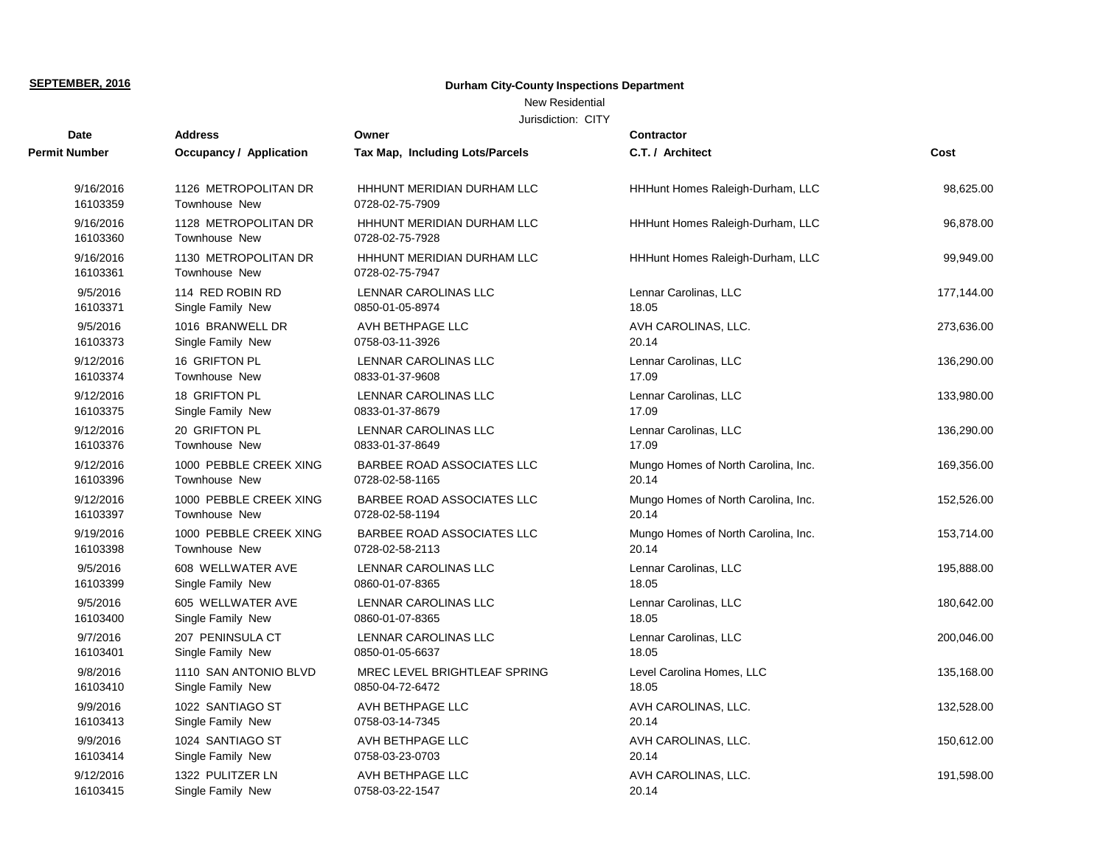# New Residential

### Jurisdiction: CITY

| Date                  | <b>Address</b>                               | Owner                                         | <b>Contractor</b>                   |            |
|-----------------------|----------------------------------------------|-----------------------------------------------|-------------------------------------|------------|
| Permit Number         | <b>Occupancy / Application</b>               | Tax Map, Including Lots/Parcels               | C.T. / Architect                    | Cost       |
| 9/16/2016<br>16103359 | 1126 METROPOLITAN DR<br><b>Townhouse New</b> | HHHUNT MERIDIAN DURHAM LLC<br>0728-02-75-7909 | HHHunt Homes Raleigh-Durham, LLC    | 98,625.00  |
| 9/16/2016<br>16103360 | 1128 METROPOLITAN DR<br>Townhouse New        | HHHUNT MERIDIAN DURHAM LLC<br>0728-02-75-7928 | HHHunt Homes Raleigh-Durham, LLC    | 96,878.00  |
| 9/16/2016<br>16103361 | 1130 METROPOLITAN DR<br>Townhouse New        | HHHUNT MERIDIAN DURHAM LLC<br>0728-02-75-7947 | HHHunt Homes Raleigh-Durham, LLC    | 99,949.00  |
| 9/5/2016              | 114 RED ROBIN RD                             | <b>LENNAR CAROLINAS LLC</b>                   | Lennar Carolinas, LLC               | 177,144.00 |
| 16103371              | Single Family New                            | 0850-01-05-8974                               | 18.05                               |            |
| 9/5/2016              | 1016 BRANWELL DR                             | AVH BETHPAGE LLC                              | AVH CAROLINAS, LLC.                 | 273.636.00 |
| 16103373              | Single Family New                            | 0758-03-11-3926                               | 20.14                               |            |
| 9/12/2016             | 16 GRIFTON PL                                | <b>LENNAR CAROLINAS LLC</b>                   | Lennar Carolinas, LLC               | 136,290.00 |
| 16103374              | Townhouse New                                | 0833-01-37-9608                               | 17.09                               |            |
| 9/12/2016             | 18 GRIFTON PL                                | LENNAR CAROLINAS LLC                          | Lennar Carolinas, LLC               | 133,980.00 |
| 16103375              | Single Family New                            | 0833-01-37-8679                               | 17.09                               |            |
| 9/12/2016             | 20 GRIFTON PL                                | LENNAR CAROLINAS LLC                          | Lennar Carolinas, LLC               | 136,290.00 |
| 16103376              | Townhouse New                                | 0833-01-37-8649                               | 17.09                               |            |
| 9/12/2016             | 1000 PEBBLE CREEK XING                       | BARBEE ROAD ASSOCIATES LLC                    | Mungo Homes of North Carolina, Inc. | 169,356.00 |
| 16103396              | <b>Townhouse New</b>                         | 0728-02-58-1165                               | 20.14                               |            |
| 9/12/2016             | 1000 PEBBLE CREEK XING                       | BARBEE ROAD ASSOCIATES LLC                    | Mungo Homes of North Carolina, Inc. | 152,526.00 |
| 16103397              | <b>Townhouse New</b>                         | 0728-02-58-1194                               | 20.14                               |            |
| 9/19/2016             | 1000 PEBBLE CREEK XING                       | BARBEE ROAD ASSOCIATES LLC                    | Mungo Homes of North Carolina, Inc. | 153,714.00 |
| 16103398              | Townhouse New                                | 0728-02-58-2113                               | 20.14                               |            |
| 9/5/2016              | 608 WELLWATER AVE                            | <b>LENNAR CAROLINAS LLC</b>                   | Lennar Carolinas, LLC               | 195,888.00 |
| 16103399              | Single Family New                            | 0860-01-07-8365                               | 18.05                               |            |
| 9/5/2016              | 605 WELLWATER AVE                            | LENNAR CAROLINAS LLC                          | Lennar Carolinas, LLC               | 180,642.00 |
| 16103400              | Single Family New                            | 0860-01-07-8365                               | 18.05                               |            |
| 9/7/2016              | 207 PENINSULA CT                             | LENNAR CAROLINAS LLC                          | Lennar Carolinas, LLC               | 200,046.00 |
| 16103401              | Single Family New                            | 0850-01-05-6637                               | 18.05                               |            |
| 9/8/2016              | 1110 SAN ANTONIO BLVD                        | MREC LEVEL BRIGHTLEAF SPRING                  | Level Carolina Homes, LLC           | 135,168.00 |
| 16103410              | Single Family New                            | 0850-04-72-6472                               | 18.05                               |            |
| 9/9/2016              | 1022 SANTIAGO ST                             | AVH BETHPAGE LLC                              | AVH CAROLINAS, LLC.                 | 132,528.00 |
| 16103413              | Single Family New                            | 0758-03-14-7345                               | 20.14                               |            |
| 9/9/2016              | 1024 SANTIAGO ST                             | AVH BETHPAGE LLC                              | AVH CAROLINAS, LLC.                 | 150,612.00 |
| 16103414              | Single Family New                            | 0758-03-23-0703                               | 20.14                               |            |
| 9/12/2016             | 1322 PULITZER LN                             | AVH BETHPAGE LLC                              | AVH CAROLINAS, LLC.                 | 191,598.00 |

16103415 Single Family New 0758-03-22-1547 20.14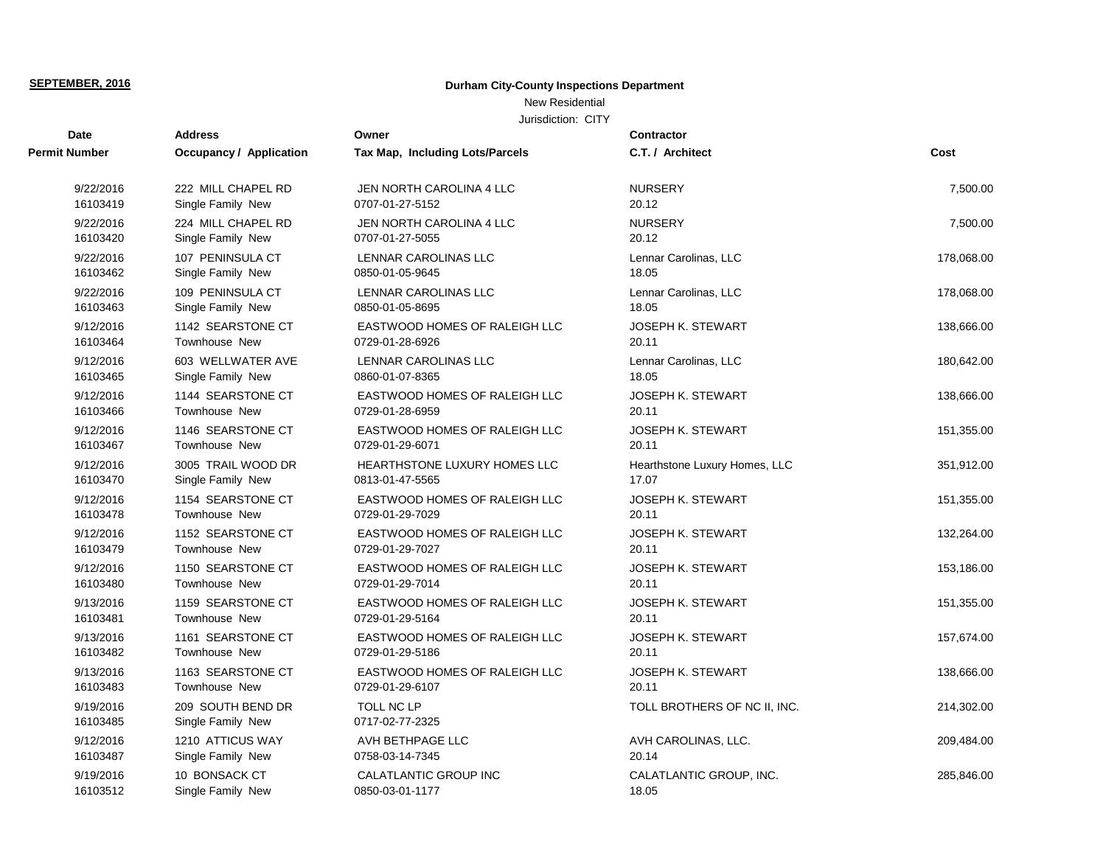# New Residential

| <b>Date</b>           | <b>Address</b>                         | Owner                           | <b>Contractor</b>             |            |
|-----------------------|----------------------------------------|---------------------------------|-------------------------------|------------|
| <b>Permit Number</b>  | <b>Occupancy / Application</b>         | Tax Map, Including Lots/Parcels | C.T. / Architect              | Cost       |
| 9/22/2016             | 222 MILL CHAPEL RD                     | JEN NORTH CAROLINA 4 LLC        | <b>NURSERY</b>                | 7,500.00   |
| 16103419              | Single Family New                      | 0707-01-27-5152                 | 20.12                         |            |
| 9/22/2016             | 224 MILL CHAPEL RD                     | JEN NORTH CAROLINA 4 LLC        | <b>NURSERY</b>                | 7,500.00   |
| 16103420              | Single Family New                      | 0707-01-27-5055                 | 20.12                         |            |
| 9/22/2016             | 107 PENINSULA CT                       | <b>LENNAR CAROLINAS LLC</b>     | Lennar Carolinas, LLC         | 178,068.00 |
| 16103462              | Single Family New                      | 0850-01-05-9645                 | 18.05                         |            |
| 9/22/2016             | 109 PENINSULA CT                       | LENNAR CAROLINAS LLC            | Lennar Carolinas, LLC         | 178,068.00 |
| 16103463              | Single Family New                      | 0850-01-05-8695                 | 18.05                         |            |
| 9/12/2016             | 1142 SEARSTONE CT                      | EASTWOOD HOMES OF RALEIGH LLC   | <b>JOSEPH K. STEWART</b>      | 138,666.00 |
| 16103464              | <b>Townhouse New</b>                   | 0729-01-28-6926                 | 20.11                         |            |
| 9/12/2016             | 603 WELLWATER AVE                      | <b>LENNAR CAROLINAS LLC</b>     | Lennar Carolinas, LLC         | 180,642.00 |
| 16103465              | Single Family New                      | 0860-01-07-8365                 | 18.05                         |            |
| 9/12/2016             | 1144 SEARSTONE CT                      | EASTWOOD HOMES OF RALEIGH LLC   | <b>JOSEPH K. STEWART</b>      | 138,666.00 |
| 16103466              | <b>Townhouse New</b>                   | 0729-01-28-6959                 | 20.11                         |            |
| 9/12/2016             | 1146 SEARSTONE CT                      | EASTWOOD HOMES OF RALEIGH LLC   | <b>JOSEPH K. STEWART</b>      | 151,355.00 |
| 16103467              | <b>Townhouse New</b>                   | 0729-01-29-6071                 | 20.11                         |            |
| 9/12/2016             | 3005 TRAIL WOOD DR                     | HEARTHSTONE LUXURY HOMES LLC    | Hearthstone Luxury Homes, LLC | 351,912.00 |
| 16103470              | Single Family New                      | 0813-01-47-5565                 | 17.07                         |            |
| 9/12/2016             | 1154 SEARSTONE CT                      | EASTWOOD HOMES OF RALEIGH LLC   | JOSEPH K. STEWART             | 151,355.00 |
| 16103478              | Townhouse New                          | 0729-01-29-7029                 | 20.11                         |            |
| 9/12/2016             | 1152 SEARSTONE CT                      | EASTWOOD HOMES OF RALEIGH LLC   | <b>JOSEPH K. STEWART</b>      | 132,264.00 |
| 16103479              | <b>Townhouse New</b>                   | 0729-01-29-7027                 | 20.11                         |            |
| 9/12/2016             | 1150 SEARSTONE CT                      | EASTWOOD HOMES OF RALEIGH LLC   | <b>JOSEPH K. STEWART</b>      | 153,186.00 |
| 16103480              | <b>Townhouse New</b>                   | 0729-01-29-7014                 | 20.11                         |            |
| 9/13/2016             | 1159 SEARSTONE CT                      | EASTWOOD HOMES OF RALEIGH LLC   | JOSEPH K. STEWART             | 151,355.00 |
| 16103481              | <b>Townhouse New</b>                   | 0729-01-29-5164                 | 20.11                         |            |
| 9/13/2016             | 1161 SEARSTONE CT                      | EASTWOOD HOMES OF RALEIGH LLC   | JOSEPH K. STEWART             | 157,674.00 |
| 16103482              | <b>Townhouse New</b>                   | 0729-01-29-5186                 | 20.11                         |            |
| 9/13/2016             | 1163 SEARSTONE CT                      | EASTWOOD HOMES OF RALEIGH LLC   | <b>JOSEPH K. STEWART</b>      | 138,666.00 |
| 16103483              | <b>Townhouse New</b>                   | 0729-01-29-6107                 | 20.11                         |            |
| 9/19/2016<br>16103485 | 209 SOUTH BEND DR<br>Single Family New | TOLL NC LP<br>0717-02-77-2325   | TOLL BROTHERS OF NC II, INC.  | 214,302.00 |
| 9/12/2016             | 1210 ATTICUS WAY                       | AVH BETHPAGE LLC                | AVH CAROLINAS, LLC.           | 209,484.00 |
| 16103487              | Single Family New                      | 0758-03-14-7345                 | 20.14                         |            |
| 9/19/2016             | 10 BONSACK CT                          | <b>CALATLANTIC GROUP INC</b>    | CALATLANTIC GROUP, INC.       | 285,846.00 |
| 16103512              | Single Family New                      | 0850-03-01-1177                 | 18.05                         |            |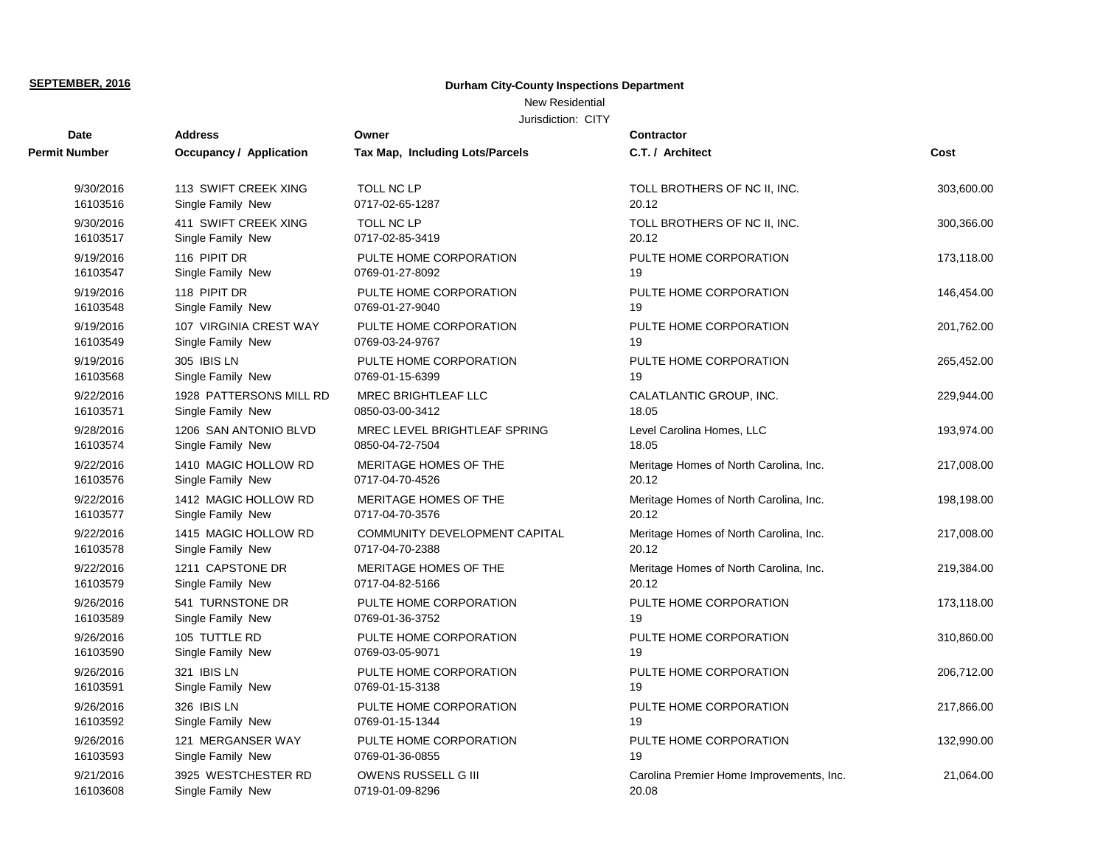# New Residential

| <b>Date</b>          | <b>Address</b>                 | Owner                                  | Contractor                               |            |
|----------------------|--------------------------------|----------------------------------------|------------------------------------------|------------|
| <b>Permit Number</b> | <b>Occupancy / Application</b> | <b>Tax Map, Including Lots/Parcels</b> | C.T. / Architect                         | Cost       |
| 9/30/2016            | 113 SWIFT CREEK XING           | TOLL NC LP                             | TOLL BROTHERS OF NC II, INC.             | 303,600.00 |
| 16103516             | Single Family New              | 0717-02-65-1287                        | 20.12                                    |            |
| 9/30/2016            | 411 SWIFT CREEK XING           | TOLL NC LP                             | TOLL BROTHERS OF NC II, INC.             | 300,366.00 |
| 16103517             | Single Family New              | 0717-02-85-3419                        | 20.12                                    |            |
| 9/19/2016            | 116 PIPIT DR                   | PULTE HOME CORPORATION                 | PULTE HOME CORPORATION                   | 173,118.00 |
| 16103547             | Single Family New              | 0769-01-27-8092                        | 19                                       |            |
| 9/19/2016            | 118 PIPIT DR                   | PULTE HOME CORPORATION                 | PULTE HOME CORPORATION                   | 146,454.00 |
| 16103548             | Single Family New              | 0769-01-27-9040                        | 19                                       |            |
| 9/19/2016            | 107 VIRGINIA CREST WAY         | PULTE HOME CORPORATION                 | PULTE HOME CORPORATION                   | 201,762.00 |
| 16103549             | Single Family New              | 0769-03-24-9767                        | 19                                       |            |
| 9/19/2016            | 305 IBIS LN                    | PULTE HOME CORPORATION                 | PULTE HOME CORPORATION                   | 265,452.00 |
| 16103568             | Single Family New              | 0769-01-15-6399                        | 19                                       |            |
| 9/22/2016            | 1928 PATTERSONS MILL RD        | <b>MREC BRIGHTLEAF LLC</b>             | CALATLANTIC GROUP, INC.                  | 229,944.00 |
| 16103571             | Single Family New              | 0850-03-00-3412                        | 18.05                                    |            |
| 9/28/2016            | 1206 SAN ANTONIO BLVD          | MREC LEVEL BRIGHTLEAF SPRING           | Level Carolina Homes, LLC                | 193,974.00 |
| 16103574             | Single Family New              | 0850-04-72-7504                        | 18.05                                    |            |
| 9/22/2016            | 1410 MAGIC HOLLOW RD           | MERITAGE HOMES OF THE                  | Meritage Homes of North Carolina, Inc.   | 217,008.00 |
| 16103576             | Single Family New              | 0717-04-70-4526                        | 20.12                                    |            |
| 9/22/2016            | 1412 MAGIC HOLLOW RD           | MERITAGE HOMES OF THE                  | Meritage Homes of North Carolina, Inc.   | 198,198.00 |
| 16103577             | Single Family New              | 0717-04-70-3576                        | 20.12                                    |            |
| 9/22/2016            | 1415 MAGIC HOLLOW RD           | COMMUNITY DEVELOPMENT CAPITAL          | Meritage Homes of North Carolina, Inc.   | 217,008.00 |
| 16103578             | Single Family New              | 0717-04-70-2388                        | 20.12                                    |            |
| 9/22/2016            | 1211 CAPSTONE DR               | MERITAGE HOMES OF THE                  | Meritage Homes of North Carolina, Inc.   | 219,384.00 |
| 16103579             | Single Family New              | 0717-04-82-5166                        | 20.12                                    |            |
| 9/26/2016            | 541 TURNSTONE DR               | PULTE HOME CORPORATION                 | PULTE HOME CORPORATION                   | 173,118.00 |
| 16103589             | Single Family New              | 0769-01-36-3752                        | 19                                       |            |
| 9/26/2016            | 105 TUTTLE RD                  | PULTE HOME CORPORATION                 | PULTE HOME CORPORATION                   | 310,860.00 |
| 16103590             | Single Family New              | 0769-03-05-9071                        | 19                                       |            |
| 9/26/2016            | 321 IBIS LN                    | PULTE HOME CORPORATION                 | PULTE HOME CORPORATION                   | 206,712.00 |
| 16103591             | Single Family New              | 0769-01-15-3138                        | 19                                       |            |
| 9/26/2016            | 326 IBIS LN                    | PULTE HOME CORPORATION                 | PULTE HOME CORPORATION                   | 217,866.00 |
| 16103592             | Single Family New              | 0769-01-15-1344                        | 19                                       |            |
| 9/26/2016            | 121 MERGANSER WAY              | PULTE HOME CORPORATION                 | PULTE HOME CORPORATION                   | 132,990.00 |
| 16103593             | Single Family New              | 0769-01-36-0855                        | 19                                       |            |
| 9/21/2016            | 3925 WESTCHESTER RD            | OWENS RUSSELL G III                    | Carolina Premier Home Improvements, Inc. | 21,064.00  |
| 16103608             | Single Family New              | 0719-01-09-8296                        | 20.08                                    |            |